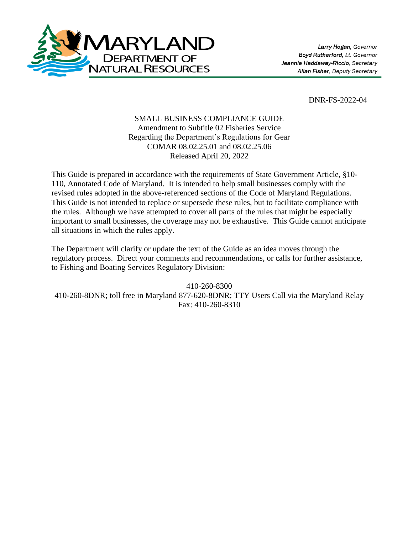

DNR-FS-2022-04

## SMALL BUSINESS COMPLIANCE GUIDE Amendment to Subtitle 02 Fisheries Service Regarding the Department's Regulations for Gear COMAR 08.02.25.01 and 08.02.25.06 Released April 20, 2022

This Guide is prepared in accordance with the requirements of State Government Article, §10- 110, Annotated Code of Maryland. It is intended to help small businesses comply with the revised rules adopted in the above-referenced sections of the Code of Maryland Regulations. This Guide is not intended to replace or supersede these rules, but to facilitate compliance with the rules. Although we have attempted to cover all parts of the rules that might be especially important to small businesses, the coverage may not be exhaustive. This Guide cannot anticipate all situations in which the rules apply.

The Department will clarify or update the text of the Guide as an idea moves through the regulatory process. Direct your comments and recommendations, or calls for further assistance, to Fishing and Boating Services Regulatory Division:

410-260-8300 410-260-8DNR; toll free in Maryland 877-620-8DNR; TTY Users Call via the Maryland Relay Fax: 410-260-8310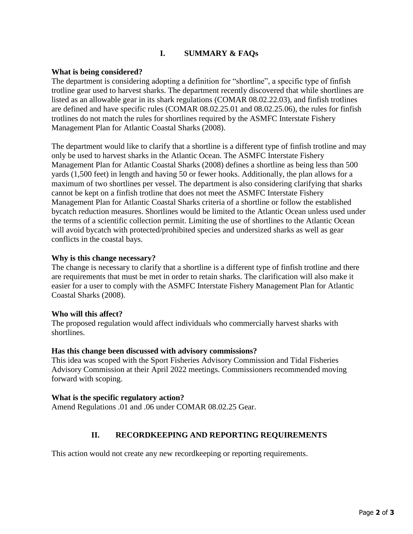# **I. SUMMARY & FAQs**

### **What is being considered?**

The department is considering adopting a definition for "shortline", a specific type of finfish trotline gear used to harvest sharks. The department recently discovered that while shortlines are listed as an allowable gear in its shark regulations (COMAR 08.02.22.03), and finfish trotlines are defined and have specific rules (COMAR 08.02.25.01 and 08.02.25.06), the rules for finfish trotlines do not match the rules for shortlines required by the ASMFC Interstate Fishery Management Plan for Atlantic Coastal Sharks (2008).

The department would like to clarify that a shortline is a different type of finfish trotline and may only be used to harvest sharks in the Atlantic Ocean. The ASMFC Interstate Fishery Management Plan for Atlantic Coastal Sharks (2008) defines a shortline as being less than 500 yards (1,500 feet) in length and having 50 or fewer hooks. Additionally, the plan allows for a maximum of two shortlines per vessel. The department is also considering clarifying that sharks cannot be kept on a finfish trotline that does not meet the ASMFC Interstate Fishery Management Plan for Atlantic Coastal Sharks criteria of a shortline or follow the established bycatch reduction measures. Shortlines would be limited to the Atlantic Ocean unless used under the terms of a scientific collection permit. Limiting the use of shortlines to the Atlantic Ocean will avoid bycatch with protected/prohibited species and undersized sharks as well as gear conflicts in the coastal bays.

#### **Why is this change necessary?**

The change is necessary to clarify that a shortline is a different type of finfish trotline and there are requirements that must be met in order to retain sharks. The clarification will also make it easier for a user to comply with the ASMFC Interstate Fishery Management Plan for Atlantic Coastal Sharks (2008).

#### **Who will this affect?**

The proposed regulation would affect individuals who commercially harvest sharks with shortlines.

#### **Has this change been discussed with advisory commissions?**

This idea was scoped with the Sport Fisheries Advisory Commission and Tidal Fisheries Advisory Commission at their April 2022 meetings. Commissioners recommended moving forward with scoping.

#### **What is the specific regulatory action?**

Amend Regulations .01 and .06 under COMAR 08.02.25 Gear.

## **II. RECORDKEEPING AND REPORTING REQUIREMENTS**

This action would not create any new recordkeeping or reporting requirements.